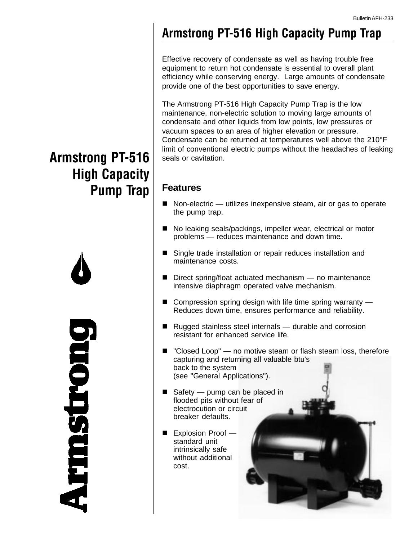### **Armstrong PT-516 High Capacity Pump Trap**

Effective recovery of condensate as well as having trouble free equipment to return hot condensate is essential to overall plant efficiency while conserving energy. Large amounts of condensate provide one of the best opportunities to save energy.

The Armstrong PT-516 High Capacity Pump Trap is the low maintenance, non-electric solution to moving large amounts of condensate and other liquids from low points, low pressures or vacuum spaces to an area of higher elevation or pressure. Condensate can be returned at temperatures well above the 210°F limit of conventional electric pumps without the headaches of leaking seals or cavitation.

#### **Features**

- $\blacksquare$  Non-electric utilizes inexpensive steam, air or gas to operate the pump trap.
- No leaking seals/packings, impeller wear, electrical or motor problems — reduces maintenance and down time.
- Single trade installation or repair reduces installation and maintenance costs.
- $\blacksquare$  Direct spring/float actuated mechanism  $-$  no maintenance intensive diaphragm operated valve mechanism.
- $\blacksquare$  Compression spring design with life time spring warranty Reduces down time, ensures performance and reliability.
- $\blacksquare$  Rugged stainless steel internals durable and corrosion resistant for enhanced service life.
- "Closed Loop" no motive steam or flash steam loss, therefore capturing and returning all valuable btu's back to the system (see "General Applications").
- Safety pump can be placed in flooded pits without fear of electrocution or circuit breaker defaults.
- $\blacksquare$  Explosion Proof standard unit intrinsically safe without additional cost.



## **Armstrong PT-516 High Capacity Pump Trap**



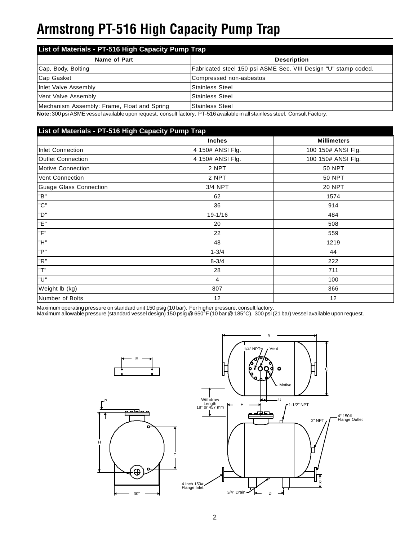## **Armstrong PT-516 High Capacity Pump Trap**

| List of Materials - PT-516 High Capacity Pump Trap |                                                                 |  |  |
|----------------------------------------------------|-----------------------------------------------------------------|--|--|
| Name of Part                                       | <b>Description</b>                                              |  |  |
| Cap, Body, Bolting                                 | Fabricated steel 150 psi ASME Sec. VIII Design "U" stamp coded. |  |  |
| Cap Gasket                                         | Compressed non-asbestos                                         |  |  |
| Inlet Valve Assembly                               | <b>Stainless Steel</b>                                          |  |  |
| Vent Valve Assembly                                | <b>Stainless Steel</b>                                          |  |  |
| Mechanism Assembly: Frame, Float and Spring        | lStainless Steel                                                |  |  |

**Note:** 300 psi ASME vessel available upon request, consult factory. PT-516 available in all stainless steel. Consult Factory.

| List of Materials - PT-516 High Capacity Pump Trap |                    |  |  |  |
|----------------------------------------------------|--------------------|--|--|--|
| <b>Inches</b>                                      | <b>Millimeters</b> |  |  |  |
| 4 150# ANSI Flg.                                   | 100 150# ANSI Flg. |  |  |  |
| 4 150# ANSI Flg.                                   | 100 150# ANSI Flg. |  |  |  |
| 2 NPT                                              | <b>50 NPT</b>      |  |  |  |
| 2 NPT                                              | <b>50 NPT</b>      |  |  |  |
| 3/4 NPT                                            | <b>20 NPT</b>      |  |  |  |
| 62                                                 | 1574               |  |  |  |
| 36                                                 | 914                |  |  |  |
| $19 - 1/16$                                        | 484                |  |  |  |
| 20                                                 | 508                |  |  |  |
| 22                                                 | 559                |  |  |  |
| 48                                                 | 1219               |  |  |  |
| $1 - 3/4$                                          | 44                 |  |  |  |
| $8 - 3/4$                                          | 222                |  |  |  |
| 28                                                 | 711                |  |  |  |
| 4                                                  | 100                |  |  |  |
| 807                                                | 366                |  |  |  |
| 12                                                 | 12                 |  |  |  |
|                                                    |                    |  |  |  |

Maximum operating pressure on standard unit 150 psig (10 bar). For higher pressure, consult factory.

Maximum allowable pressure (standard vessel design) 150 psig @ 650°F (10 bar @ 185°C). 300 psi (21 bar) vessel available upon request.

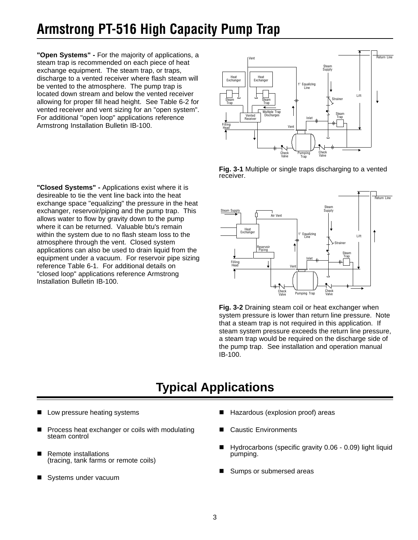## **Armstrong PT-516 High Capacity Pump Trap**

**"Open Systems" -** For the majority of applications, a steam trap is recommended on each piece of heat exchange equipment. The steam trap, or traps, discharge to a vented receiver where flash steam will be vented to the atmosphere. The pump trap is located down stream and below the vented receiver allowing for proper fill head height. See Table 6-2 for vented receiver and vent sizing for an "open system". For additional "open loop" applications reference Armstrong Installation Bulletin IB-100.

**"Closed Systems" -** Applications exist where it is desireable to tie the vent line back into the heat exchange space "equalizing" the pressure in the heat exchanger, reservoir/piping and the pump trap. This allows water to flow by gravity down to the pump where it can be returned. Valuable btu's remain within the system due to no flash steam loss to the atmosphere through the vent. Closed system applications can also be used to drain liquid from the equipment under a vacuum. For reservoir pipe sizing reference Table 6-1. For additional details on "closed loop" applications reference Armstrong Installation Bulletin IB-100.



**Fig. 3-1** Multiple or single traps discharging to a vented receiver.



**Fig. 3-2** Draining steam coil or heat exchanger when system pressure is lower than return line pressure. Note that a steam trap is not required in this application. If steam system pressure exceeds the return line pressure, a steam trap would be required on the discharge side of the pump trap. See installation and operation manual IB-100.

### **Typical Applications**

- Low pressure heating systems
- Process heat exchanger or coils with modulating steam control
- Remote installations (tracing, tank farms or remote coils)
- Systems under vacuum
- Hazardous (explosion proof) areas
- **Caustic Environments**
- $\blacksquare$  Hydrocarbons (specific gravity 0.06 0.09) light liquid pumping.
- Sumps or submersed areas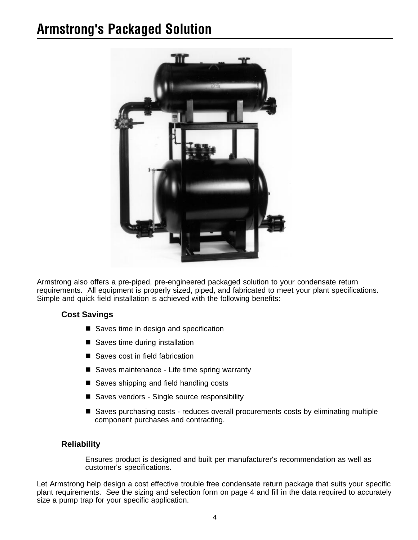## **Armstrong's Packaged Solution**



Armstrong also offers a pre-piped, pre-engineered packaged solution to your condensate return requirements. All equipment is properly sized, piped, and fabricated to meet your plant specifications. Simple and quick field installation is achieved with the following benefits:

#### **Cost Savings**

- $\blacksquare$  Saves time in design and specification
- Saves time during installation
- Saves cost in field fabrication
- Saves maintenance Life time spring warranty
- $\blacksquare$  Saves shipping and field handling costs
- Saves vendors Single source responsibility
- Saves purchasing costs reduces overall procurements costs by eliminating multiple component purchases and contracting.

#### **Reliability**

Ensures product is designed and built per manufacturer's recommendation as well as customer's specifications.

Let Armstrong help design a cost effective trouble free condensate return package that suits your specific plant requirements. See the sizing and selection form on page 4 and fill in the data required to accurately size a pump trap for your specific application.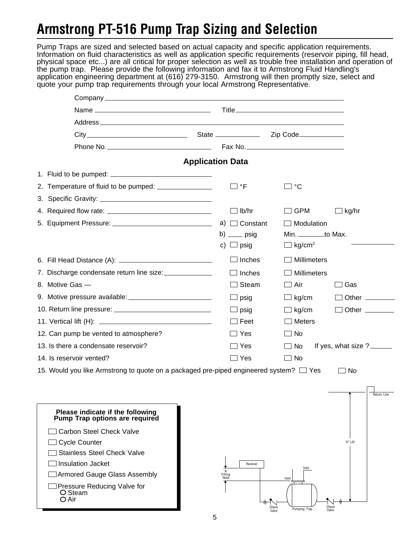## **Armstrong PT-516 Pump Trap Sizing and Selection**

Pump Traps are sized and selected based on actual capacity and specific application requirements. Information on fluid characteristics as well as application specific requirements (reservoir piping, fill head, physical space etc...) are all critical for proper selection as well as trouble free installation and operation of the pump trap. Please provide the following information and fax it to Armstrong Fluid Handling's application engineering department at (616) 279-3150. Armstrong will then promptly size, select and quote your pump trap requirements through your local Armstrong Representative.

| <b>Application Data</b><br>□ °F<br>°C<br>$\Box$ lb/hr<br><b>GPM</b><br>∃ kg/hr<br>a) $\Box$ Constant<br>Modulation<br>Min. _________to Max.<br>b) $\rule{1em}{0.15mm}$ psig<br>c) $\Box$ psig<br>$\Box$ kg/cm <sup>2</sup><br>$\Box$ Inches<br>Millimeters<br>7. Discharge condensate return line size:<br>$\Box$ Inches<br><b>Millimeters</b><br>8. Motive Gas -<br>Steam<br>Air<br>Gas<br>Other ________<br>$\Box$ psig<br>$\Box$ kg/cm<br>$\Box$ Other $\_\_\_\_\_\_\_\_\_\_\_\_$<br>$\Box$ kg/cm<br>$\Box$ psig<br>$\Box$ Feet<br>$\Box$ Meters<br>12. Can pump be vented to atmosphere?<br>$\Box$ Yes<br><b>No</b><br>$\blacksquare$<br>13. Is there a condensate reservoir?<br>$\Box$ Yes<br>If yes, what size $?$ _______<br>No.<br>$\blacksquare$<br>14. Is reservoir vented?<br>$\Box$ Yes<br>$\Box$ No<br>15. Would you like Armstrong to quote on a packaged pre-piped engineered system? $\square$ Yes<br>$\square$ No<br>Please indicate if the following<br>Pump Trap options are required<br>Carbon Steel Check Valve<br><b>Cycle Counter</b><br>"H" Lift<br><b>Stainless Steel Check Valve</b><br><b>Insulation Jacket</b><br>Receiver<br>Inlet<br>"A"<br>Filling<br>Head<br>Armored Gauge Glass Assembly<br>Vent<br>Pressure Reducing Valve for<br>O Steam | Company experience and the company of the company of the company of the company of the company of the company of the company of the company of the company of the company of the company of the company of the company of the |  |  |                    |
|-----------------------------------------------------------------------------------------------------------------------------------------------------------------------------------------------------------------------------------------------------------------------------------------------------------------------------------------------------------------------------------------------------------------------------------------------------------------------------------------------------------------------------------------------------------------------------------------------------------------------------------------------------------------------------------------------------------------------------------------------------------------------------------------------------------------------------------------------------------------------------------------------------------------------------------------------------------------------------------------------------------------------------------------------------------------------------------------------------------------------------------------------------------------------------------------------------------------------------------------------------------------------------|-------------------------------------------------------------------------------------------------------------------------------------------------------------------------------------------------------------------------------|--|--|--------------------|
|                                                                                                                                                                                                                                                                                                                                                                                                                                                                                                                                                                                                                                                                                                                                                                                                                                                                                                                                                                                                                                                                                                                                                                                                                                                                             |                                                                                                                                                                                                                               |  |  |                    |
|                                                                                                                                                                                                                                                                                                                                                                                                                                                                                                                                                                                                                                                                                                                                                                                                                                                                                                                                                                                                                                                                                                                                                                                                                                                                             |                                                                                                                                                                                                                               |  |  |                    |
|                                                                                                                                                                                                                                                                                                                                                                                                                                                                                                                                                                                                                                                                                                                                                                                                                                                                                                                                                                                                                                                                                                                                                                                                                                                                             |                                                                                                                                                                                                                               |  |  |                    |
|                                                                                                                                                                                                                                                                                                                                                                                                                                                                                                                                                                                                                                                                                                                                                                                                                                                                                                                                                                                                                                                                                                                                                                                                                                                                             |                                                                                                                                                                                                                               |  |  |                    |
|                                                                                                                                                                                                                                                                                                                                                                                                                                                                                                                                                                                                                                                                                                                                                                                                                                                                                                                                                                                                                                                                                                                                                                                                                                                                             |                                                                                                                                                                                                                               |  |  |                    |
|                                                                                                                                                                                                                                                                                                                                                                                                                                                                                                                                                                                                                                                                                                                                                                                                                                                                                                                                                                                                                                                                                                                                                                                                                                                                             |                                                                                                                                                                                                                               |  |  |                    |
|                                                                                                                                                                                                                                                                                                                                                                                                                                                                                                                                                                                                                                                                                                                                                                                                                                                                                                                                                                                                                                                                                                                                                                                                                                                                             |                                                                                                                                                                                                                               |  |  |                    |
|                                                                                                                                                                                                                                                                                                                                                                                                                                                                                                                                                                                                                                                                                                                                                                                                                                                                                                                                                                                                                                                                                                                                                                                                                                                                             |                                                                                                                                                                                                                               |  |  |                    |
|                                                                                                                                                                                                                                                                                                                                                                                                                                                                                                                                                                                                                                                                                                                                                                                                                                                                                                                                                                                                                                                                                                                                                                                                                                                                             |                                                                                                                                                                                                                               |  |  |                    |
|                                                                                                                                                                                                                                                                                                                                                                                                                                                                                                                                                                                                                                                                                                                                                                                                                                                                                                                                                                                                                                                                                                                                                                                                                                                                             |                                                                                                                                                                                                                               |  |  |                    |
|                                                                                                                                                                                                                                                                                                                                                                                                                                                                                                                                                                                                                                                                                                                                                                                                                                                                                                                                                                                                                                                                                                                                                                                                                                                                             |                                                                                                                                                                                                                               |  |  |                    |
|                                                                                                                                                                                                                                                                                                                                                                                                                                                                                                                                                                                                                                                                                                                                                                                                                                                                                                                                                                                                                                                                                                                                                                                                                                                                             |                                                                                                                                                                                                                               |  |  |                    |
|                                                                                                                                                                                                                                                                                                                                                                                                                                                                                                                                                                                                                                                                                                                                                                                                                                                                                                                                                                                                                                                                                                                                                                                                                                                                             |                                                                                                                                                                                                                               |  |  |                    |
|                                                                                                                                                                                                                                                                                                                                                                                                                                                                                                                                                                                                                                                                                                                                                                                                                                                                                                                                                                                                                                                                                                                                                                                                                                                                             |                                                                                                                                                                                                                               |  |  |                    |
|                                                                                                                                                                                                                                                                                                                                                                                                                                                                                                                                                                                                                                                                                                                                                                                                                                                                                                                                                                                                                                                                                                                                                                                                                                                                             |                                                                                                                                                                                                                               |  |  |                    |
|                                                                                                                                                                                                                                                                                                                                                                                                                                                                                                                                                                                                                                                                                                                                                                                                                                                                                                                                                                                                                                                                                                                                                                                                                                                                             |                                                                                                                                                                                                                               |  |  |                    |
|                                                                                                                                                                                                                                                                                                                                                                                                                                                                                                                                                                                                                                                                                                                                                                                                                                                                                                                                                                                                                                                                                                                                                                                                                                                                             |                                                                                                                                                                                                                               |  |  |                    |
|                                                                                                                                                                                                                                                                                                                                                                                                                                                                                                                                                                                                                                                                                                                                                                                                                                                                                                                                                                                                                                                                                                                                                                                                                                                                             |                                                                                                                                                                                                                               |  |  |                    |
|                                                                                                                                                                                                                                                                                                                                                                                                                                                                                                                                                                                                                                                                                                                                                                                                                                                                                                                                                                                                                                                                                                                                                                                                                                                                             |                                                                                                                                                                                                                               |  |  |                    |
|                                                                                                                                                                                                                                                                                                                                                                                                                                                                                                                                                                                                                                                                                                                                                                                                                                                                                                                                                                                                                                                                                                                                                                                                                                                                             |                                                                                                                                                                                                                               |  |  |                    |
|                                                                                                                                                                                                                                                                                                                                                                                                                                                                                                                                                                                                                                                                                                                                                                                                                                                                                                                                                                                                                                                                                                                                                                                                                                                                             |                                                                                                                                                                                                                               |  |  |                    |
|                                                                                                                                                                                                                                                                                                                                                                                                                                                                                                                                                                                                                                                                                                                                                                                                                                                                                                                                                                                                                                                                                                                                                                                                                                                                             |                                                                                                                                                                                                                               |  |  |                    |
|                                                                                                                                                                                                                                                                                                                                                                                                                                                                                                                                                                                                                                                                                                                                                                                                                                                                                                                                                                                                                                                                                                                                                                                                                                                                             |                                                                                                                                                                                                                               |  |  |                    |
|                                                                                                                                                                                                                                                                                                                                                                                                                                                                                                                                                                                                                                                                                                                                                                                                                                                                                                                                                                                                                                                                                                                                                                                                                                                                             |                                                                                                                                                                                                                               |  |  | <b>Return Line</b> |
|                                                                                                                                                                                                                                                                                                                                                                                                                                                                                                                                                                                                                                                                                                                                                                                                                                                                                                                                                                                                                                                                                                                                                                                                                                                                             |                                                                                                                                                                                                                               |  |  |                    |
|                                                                                                                                                                                                                                                                                                                                                                                                                                                                                                                                                                                                                                                                                                                                                                                                                                                                                                                                                                                                                                                                                                                                                                                                                                                                             |                                                                                                                                                                                                                               |  |  |                    |
|                                                                                                                                                                                                                                                                                                                                                                                                                                                                                                                                                                                                                                                                                                                                                                                                                                                                                                                                                                                                                                                                                                                                                                                                                                                                             |                                                                                                                                                                                                                               |  |  |                    |
|                                                                                                                                                                                                                                                                                                                                                                                                                                                                                                                                                                                                                                                                                                                                                                                                                                                                                                                                                                                                                                                                                                                                                                                                                                                                             |                                                                                                                                                                                                                               |  |  |                    |
|                                                                                                                                                                                                                                                                                                                                                                                                                                                                                                                                                                                                                                                                                                                                                                                                                                                                                                                                                                                                                                                                                                                                                                                                                                                                             |                                                                                                                                                                                                                               |  |  |                    |
|                                                                                                                                                                                                                                                                                                                                                                                                                                                                                                                                                                                                                                                                                                                                                                                                                                                                                                                                                                                                                                                                                                                                                                                                                                                                             |                                                                                                                                                                                                                               |  |  |                    |
| Check<br>Valve<br>Check<br>Pumping Trap                                                                                                                                                                                                                                                                                                                                                                                                                                                                                                                                                                                                                                                                                                                                                                                                                                                                                                                                                                                                                                                                                                                                                                                                                                     | O Air                                                                                                                                                                                                                         |  |  |                    |